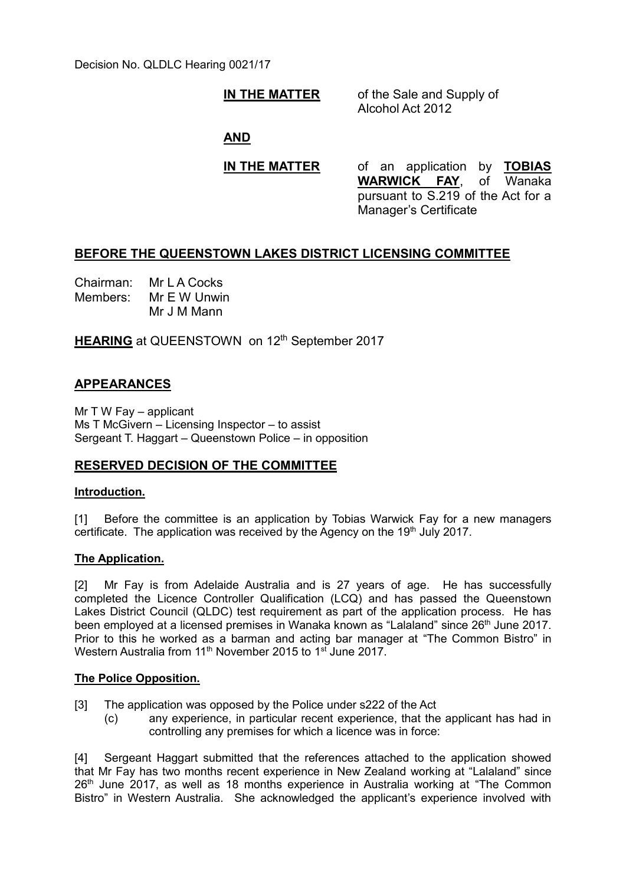Decision No. QLDLC Hearing 0021/17

## **IN THE MATTER** of the Sale and Supply of

Alcohol Act 2012

**AND**

**IN THE MATTER** of an application by **TOBIAS WARWICK FAY**, of Wanaka pursuant to S.219 of the Act for a Manager's Certificate

## **BEFORE THE QUEENSTOWN LAKES DISTRICT LICENSING COMMITTEE**

Chairman: Mr L A Cocks Members: Mr E W Unwin Mr J M Mann

**HEARING** at QUEENSTOWN on 12<sup>th</sup> September 2017

## **APPEARANCES**

Mr T W Fay – applicant Ms T McGivern – Licensing Inspector – to assist Sergeant T. Haggart – Queenstown Police – in opposition

# **RESERVED DECISION OF THE COMMITTEE**

## **Introduction.**

[1] Before the committee is an application by Tobias Warwick Fay for a new managers certificate. The application was received by the Agency on the 19<sup>th</sup> July 2017.

## **The Application.**

[2] Mr Fay is from Adelaide Australia and is 27 years of age. He has successfully completed the Licence Controller Qualification (LCQ) and has passed the Queenstown Lakes District Council (QLDC) test requirement as part of the application process. He has been employed at a licensed premises in Wanaka known as "Lalaland" since 26<sup>th</sup> June 2017. Prior to this he worked as a barman and acting bar manager at "The Common Bistro" in Western Australia from 11<sup>th</sup> November 2015 to 1<sup>st</sup> June 2017.

#### **The Police Opposition.**

- [3] The application was opposed by the Police under s222 of the Act
	- (c) any experience, in particular recent experience, that the applicant has had in controlling any premises for which a licence was in force:

[4] Sergeant Haggart submitted that the references attached to the application showed that Mr Fay has two months recent experience in New Zealand working at "Lalaland" since 26<sup>th</sup> June 2017, as well as 18 months experience in Australia working at "The Common Bistro" in Western Australia. She acknowledged the applicant's experience involved with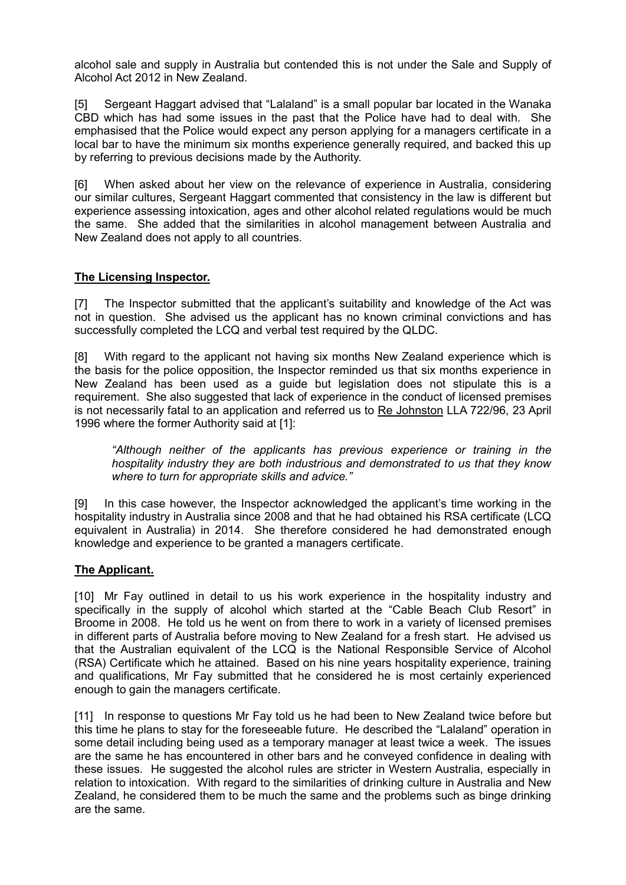alcohol sale and supply in Australia but contended this is not under the Sale and Supply of Alcohol Act 2012 in New Zealand.

[5] Sergeant Haggart advised that "Lalaland" is a small popular bar located in the Wanaka CBD which has had some issues in the past that the Police have had to deal with. She emphasised that the Police would expect any person applying for a managers certificate in a local bar to have the minimum six months experience generally required, and backed this up by referring to previous decisions made by the Authority.

[6] When asked about her view on the relevance of experience in Australia, considering our similar cultures, Sergeant Haggart commented that consistency in the law is different but experience assessing intoxication, ages and other alcohol related regulations would be much the same. She added that the similarities in alcohol management between Australia and New Zealand does not apply to all countries.

## **The Licensing Inspector.**

[7] The Inspector submitted that the applicant's suitability and knowledge of the Act was not in question. She advised us the applicant has no known criminal convictions and has successfully completed the LCQ and verbal test required by the QLDC.

[8] With regard to the applicant not having six months New Zealand experience which is the basis for the police opposition, the Inspector reminded us that six months experience in New Zealand has been used as a guide but legislation does not stipulate this is a requirement. She also suggested that lack of experience in the conduct of licensed premises is not necessarily fatal to an application and referred us to Re Johnston LLA 722/96, 23 April 1996 where the former Authority said at [1]:

*"Although neither of the applicants has previous experience or training in the hospitality industry they are both industrious and demonstrated to us that they know where to turn for appropriate skills and advice."*

[9] In this case however, the Inspector acknowledged the applicant's time working in the hospitality industry in Australia since 2008 and that he had obtained his RSA certificate (LCQ equivalent in Australia) in 2014. She therefore considered he had demonstrated enough knowledge and experience to be granted a managers certificate.

## **The Applicant.**

[10] Mr Fay outlined in detail to us his work experience in the hospitality industry and specifically in the supply of alcohol which started at the "Cable Beach Club Resort" in Broome in 2008. He told us he went on from there to work in a variety of licensed premises in different parts of Australia before moving to New Zealand for a fresh start. He advised us that the Australian equivalent of the LCQ is the National Responsible Service of Alcohol (RSA) Certificate which he attained. Based on his nine years hospitality experience, training and qualifications, Mr Fay submitted that he considered he is most certainly experienced enough to gain the managers certificate.

[11] In response to questions Mr Fay told us he had been to New Zealand twice before but this time he plans to stay for the foreseeable future. He described the "Lalaland" operation in some detail including being used as a temporary manager at least twice a week. The issues are the same he has encountered in other bars and he conveyed confidence in dealing with these issues. He suggested the alcohol rules are stricter in Western Australia, especially in relation to intoxication. With regard to the similarities of drinking culture in Australia and New Zealand, he considered them to be much the same and the problems such as binge drinking are the same.